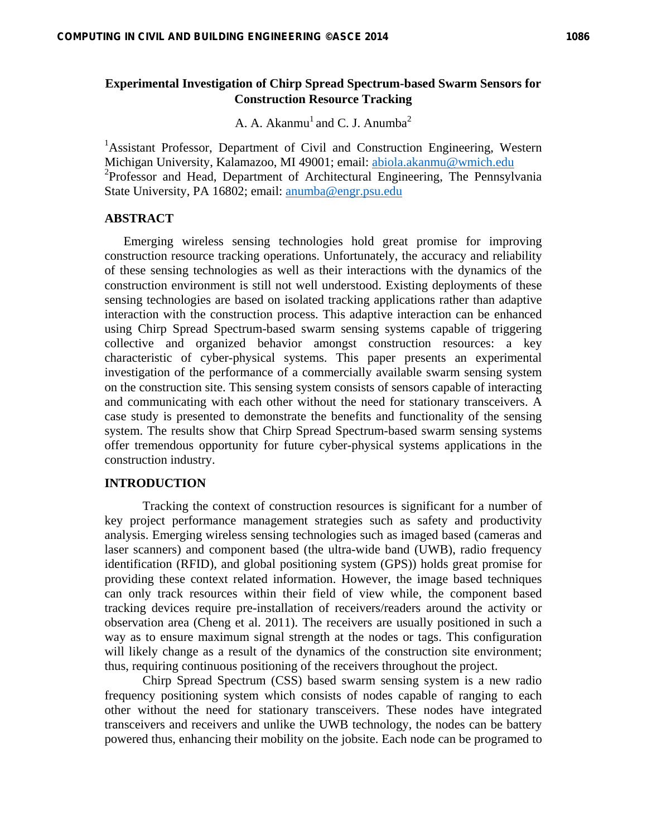## **Experimental Investigation of Chirp Spread Spectrum-based Swarm Sensors for Construction Resource Tracking**

A. A. Akanmu<sup>1</sup> and C. J. Anumba<sup>2</sup>

<sup>1</sup>Assistant Professor, Department of Civil and Construction Engineering, Western Michigan University, Kalamazoo, MI 49001; email: abiola.akanmu@wmich.edu <sup>2</sup>Professor and Head, Department of Architectural Engineering, The Pennsylvania State University, PA 16802; email: anumba@engr.psu.edu

## **ABSTRACT**

Emerging wireless sensing technologies hold great promise for improving construction resource tracking operations. Unfortunately, the accuracy and reliability of these sensing technologies as well as their interactions with the dynamics of the construction environment is still not well understood. Existing deployments of these sensing technologies are based on isolated tracking applications rather than adaptive interaction with the construction process. This adaptive interaction can be enhanced using Chirp Spread Spectrum-based swarm sensing systems capable of triggering collective and organized behavior amongst construction resources: a key characteristic of cyber-physical systems. This paper presents an experimental investigation of the performance of a commercially available swarm sensing system on the construction site. This sensing system consists of sensors capable of interacting and communicating with each other without the need for stationary transceivers. A case study is presented to demonstrate the benefits and functionality of the sensing system. The results show that Chirp Spread Spectrum-based swarm sensing systems offer tremendous opportunity for future cyber-physical systems applications in the construction industry.

## **INTRODUCTION**

Tracking the context of construction resources is significant for a number of key project performance management strategies such as safety and productivity analysis. Emerging wireless sensing technologies such as imaged based (cameras and laser scanners) and component based (the ultra-wide band (UWB), radio frequency identification (RFID), and global positioning system (GPS)) holds great promise for providing these context related information. However, the image based techniques can only track resources within their field of view while, the component based tracking devices require pre-installation of receivers/readers around the activity or observation area (Cheng et al. 2011). The receivers are usually positioned in such a way as to ensure maximum signal strength at the nodes or tags. This configuration will likely change as a result of the dynamics of the construction site environment; thus, requiring continuous positioning of the receivers throughout the project.

Chirp Spread Spectrum (CSS) based swarm sensing system is a new radio frequency positioning system which consists of nodes capable of ranging to each other without the need for stationary transceivers. These nodes have integrated transceivers and receivers and unlike the UWB technology, the nodes can be battery powered thus, enhancing their mobility on the jobsite. Each node can be programed to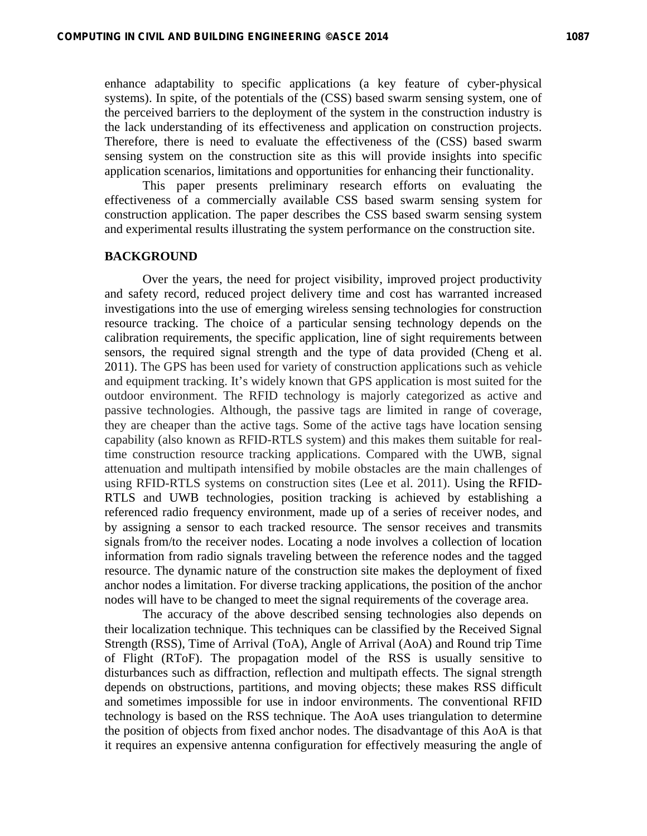enhance adaptability to specific applications (a key feature of cyber-physical systems). In spite, of the potentials of the (CSS) based swarm sensing system, one of the perceived barriers to the deployment of the system in the construction industry is the lack understanding of its effectiveness and application on construction projects. Therefore, there is need to evaluate the effectiveness of the (CSS) based swarm sensing system on the construction site as this will provide insights into specific application scenarios, limitations and opportunities for enhancing their functionality.

This paper presents preliminary research efforts on evaluating the effectiveness of a commercially available CSS based swarm sensing system for construction application. The paper describes the CSS based swarm sensing system and experimental results illustrating the system performance on the construction site.

#### **BACKGROUND**

Over the years, the need for project visibility, improved project productivity and safety record, reduced project delivery time and cost has warranted increased investigations into the use of emerging wireless sensing technologies for construction resource tracking. The choice of a particular sensing technology depends on the calibration requirements, the specific application, line of sight requirements between sensors, the required signal strength and the type of data provided (Cheng et al. 2011). The GPS has been used for variety of construction applications such as vehicle and equipment tracking. It's widely known that GPS application is most suited for the outdoor environment. The RFID technology is majorly categorized as active and passive technologies. Although, the passive tags are limited in range of coverage, they are cheaper than the active tags. Some of the active tags have location sensing capability (also known as RFID-RTLS system) and this makes them suitable for realtime construction resource tracking applications. Compared with the UWB, signal attenuation and multipath intensified by mobile obstacles are the main challenges of using RFID-RTLS systems on construction sites (Lee et al. 2011). Using the RFID-RTLS and UWB technologies, position tracking is achieved by establishing a referenced radio frequency environment, made up of a series of receiver nodes, and by assigning a sensor to each tracked resource. The sensor receives and transmits signals from/to the receiver nodes. Locating a node involves a collection of location information from radio signals traveling between the reference nodes and the tagged resource. The dynamic nature of the construction site makes the deployment of fixed anchor nodes a limitation. For diverse tracking applications, the position of the anchor nodes will have to be changed to meet the signal requirements of the coverage area.

The accuracy of the above described sensing technologies also depends on their localization technique. This techniques can be classified by the Received Signal Strength (RSS), Time of Arrival (ToA), Angle of Arrival (AoA) and Round trip Time of Flight (RToF). The propagation model of the RSS is usually sensitive to disturbances such as diffraction, reflection and multipath effects. The signal strength depends on obstructions, partitions, and moving objects; these makes RSS difficult and sometimes impossible for use in indoor environments. The conventional RFID technology is based on the RSS technique. The AoA uses triangulation to determine the position of objects from fixed anchor nodes. The disadvantage of this AoA is that it requires an expensive antenna configuration for effectively measuring the angle of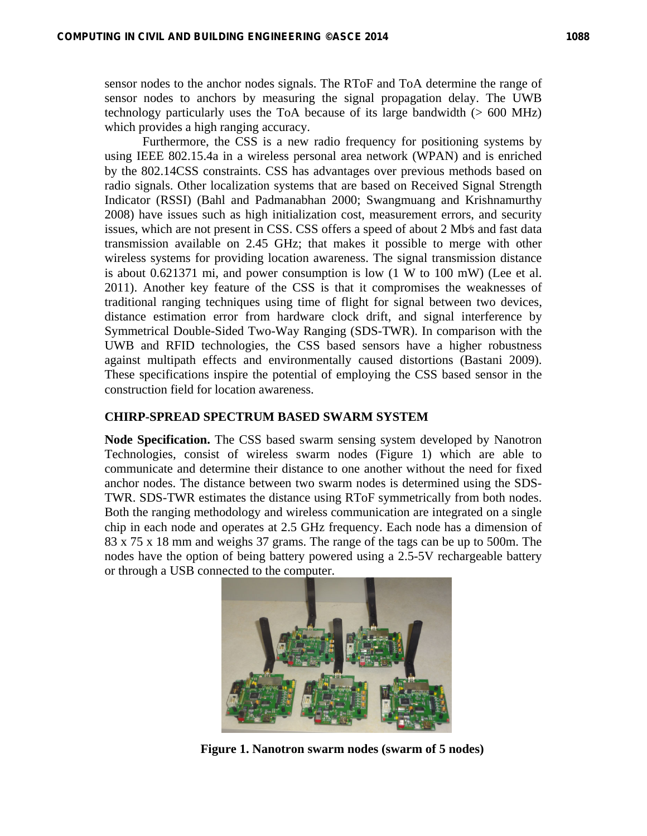sensor nodes to the anchor nodes signals. The RToF and ToA determine the range of sensor nodes to anchors by measuring the signal propagation delay. The UWB technology particularly uses the ToA because of its large bandwidth (> 600 MHz) which provides a high ranging accuracy.

Furthermore, the CSS is a new radio frequency for positioning systems by using IEEE 802.15.4a in a wireless personal area network (WPAN) and is enriched by the 802.14CSS constraints. CSS has advantages over previous methods based on radio signals. Other localization systems that are based on Received Signal Strength Indicator (RSSI) (Bahl and Padmanabhan 2000; Swangmuang and Krishnamurthy 2008) have issues such as high initialization cost, measurement errors, and security issues, which are not present in CSS. CSS offers a speed of about 2 Mb⁄s and fast data transmission available on 2.45 GHz; that makes it possible to merge with other wireless systems for providing location awareness. The signal transmission distance is about 0.621371 mi, and power consumption is low (1 W to 100 mW) (Lee et al. 2011). Another key feature of the CSS is that it compromises the weaknesses of traditional ranging techniques using time of flight for signal between two devices, distance estimation error from hardware clock drift, and signal interference by Symmetrical Double-Sided Two-Way Ranging (SDS-TWR). In comparison with the UWB and RFID technologies, the CSS based sensors have a higher robustness against multipath effects and environmentally caused distortions (Bastani 2009). These specifications inspire the potential of employing the CSS based sensor in the construction field for location awareness.

## **CHIRP-SPREAD SPECTRUM BASED SWARM SYSTEM**

**Node Specification.** The CSS based swarm sensing system developed by Nanotron Technologies, consist of wireless swarm nodes (Figure 1) which are able to communicate and determine their distance to one another without the need for fixed anchor nodes. The distance between two swarm nodes is determined using the SDS-TWR. SDS-TWR estimates the distance using RToF symmetrically from both nodes. Both the ranging methodology and wireless communication are integrated on a single chip in each node and operates at 2.5 GHz frequency. Each node has a dimension of 83 x 75 x 18 mm and weighs 37 grams. The range of the tags can be up to 500m. The nodes have the option of being battery powered using a 2.5-5V rechargeable battery or through a USB connected to the computer.



**Figure 1. Nanotron swarm nodes (swarm of 5 nodes)**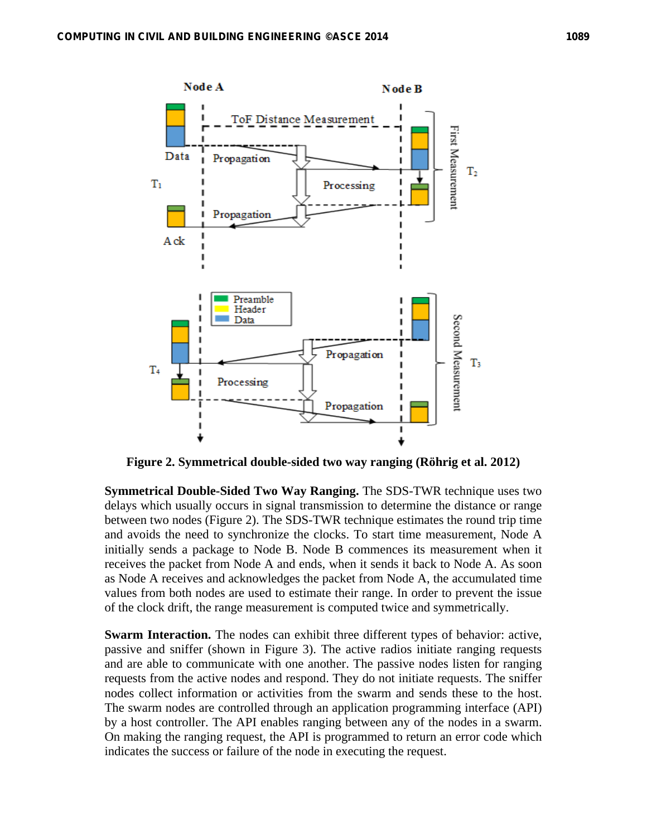

**Figure 2. Symmetrical double-sided two way ranging (Röhrig et al. 2012)** 

**Symmetrical Double-Sided Two Way Ranging.** The SDS-TWR technique uses two delays which usually occurs in signal transmission to determine the distance or range between two nodes (Figure 2). The SDS-TWR technique estimates the round trip time and avoids the need to synchronize the clocks. To start time measurement, Node A initially sends a package to Node B. Node B commences its measurement when it receives the packet from Node A and ends, when it sends it back to Node A. As soon as Node A receives and acknowledges the packet from Node A, the accumulated time values from both nodes are used to estimate their range. In order to prevent the issue of the clock drift, the range measurement is computed twice and symmetrically.

**Swarm Interaction.** The nodes can exhibit three different types of behavior: active, passive and sniffer (shown in Figure 3). The active radios initiate ranging requests and are able to communicate with one another. The passive nodes listen for ranging requests from the active nodes and respond. They do not initiate requests. The sniffer nodes collect information or activities from the swarm and sends these to the host. The swarm nodes are controlled through an application programming interface (API) by a host controller. The API enables ranging between any of the nodes in a swarm. On making the ranging request, the API is programmed to return an error code which indicates the success or failure of the node in executing the request.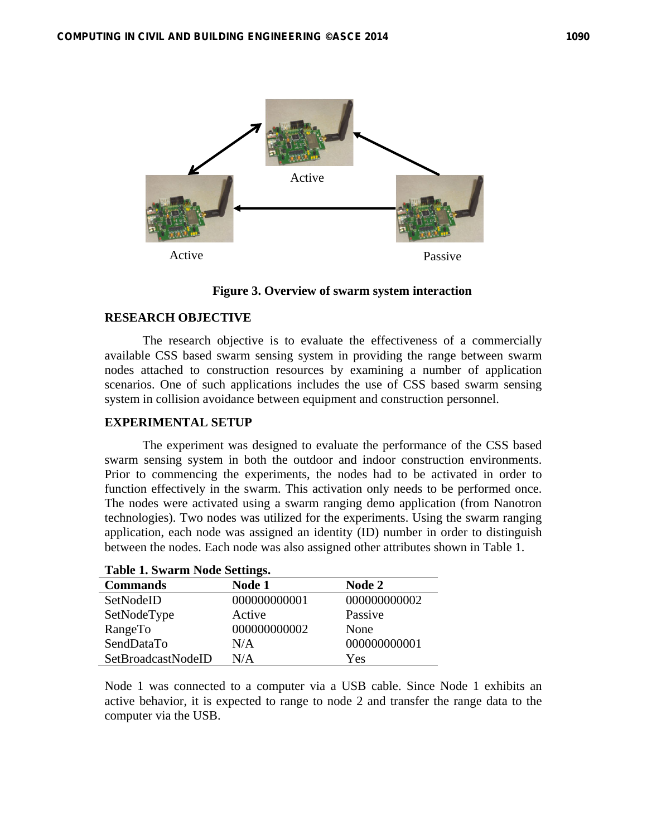

#### **Figure 3. Overview of swarm system interaction**

#### **RESEARCH OBJECTIVE**

The research objective is to evaluate the effectiveness of a commercially available CSS based swarm sensing system in providing the range between swarm nodes attached to construction resources by examining a number of application scenarios. One of such applications includes the use of CSS based swarm sensing system in collision avoidance between equipment and construction personnel.

#### **EXPERIMENTAL SETUP**

The experiment was designed to evaluate the performance of the CSS based swarm sensing system in both the outdoor and indoor construction environments. Prior to commencing the experiments, the nodes had to be activated in order to function effectively in the swarm. This activation only needs to be performed once. The nodes were activated using a swarm ranging demo application (from Nanotron technologies). Two nodes was utilized for the experiments. Using the swarm ranging application, each node was assigned an identity (ID) number in order to distinguish between the nodes. Each node was also assigned other attributes shown in Table 1.

| Lable 1. Swarm indue Settings. |              |              |  |  |  |
|--------------------------------|--------------|--------------|--|--|--|
| <b>Commands</b>                | Node 1       | Node 2       |  |  |  |
| SetNodeID                      | 000000000001 | 000000000002 |  |  |  |
| SetNodeType                    | Active       | Passive      |  |  |  |
| RangeTo                        | 000000000002 | None         |  |  |  |
| SendDataTo                     | N/A          | 000000000001 |  |  |  |
| SetBroadcastNodeID             | N/A          | Yes          |  |  |  |

# **Table 1. Swarm Node Settings.**

Node 1 was connected to a computer via a USB cable. Since Node 1 exhibits an active behavior, it is expected to range to node 2 and transfer the range data to the computer via the USB.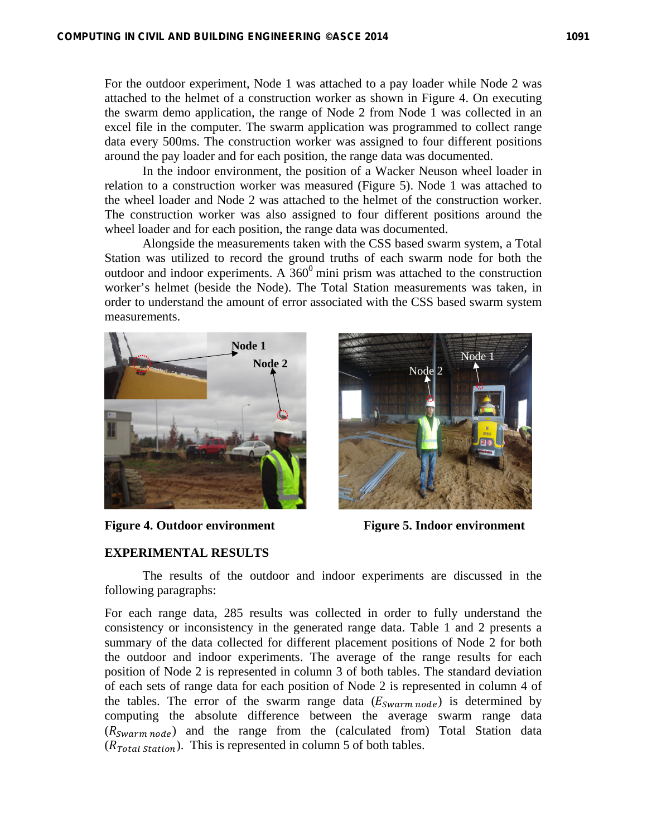For the outdoor experiment, Node 1 was attached to a pay loader while Node 2 was attached to the helmet of a construction worker as shown in Figure 4. On executing the swarm demo application, the range of Node 2 from Node 1 was collected in an excel file in the computer. The swarm application was programmed to collect range data every 500ms. The construction worker was assigned to four different positions around the pay loader and for each position, the range data was documented.

In the indoor environment, the position of a Wacker Neuson wheel loader in relation to a construction worker was measured (Figure 5). Node 1 was attached to the wheel loader and Node 2 was attached to the helmet of the construction worker. The construction worker was also assigned to four different positions around the wheel loader and for each position, the range data was documented.

Alongside the measurements taken with the CSS based swarm system, a Total Station was utilized to record the ground truths of each swarm node for both the outdoor and indoor experiments. A  $360^{\circ}$  mini prism was attached to the construction worker's helmet (beside the Node). The Total Station measurements was taken, in order to understand the amount of error associated with the CSS based swarm system measurements.







#### **EXPERIMENTAL RESULTS**

The results of the outdoor and indoor experiments are discussed in the following paragraphs:

For each range data, 285 results was collected in order to fully understand the consistency or inconsistency in the generated range data. Table 1 and 2 presents a summary of the data collected for different placement positions of Node 2 for both the outdoor and indoor experiments. The average of the range results for each position of Node 2 is represented in column 3 of both tables. The standard deviation of each sets of range data for each position of Node 2 is represented in column 4 of the tables. The error of the swarm range data  $(E_{Swarm\ model})$  is determined by computing the absolute difference between the average swarm range data  $(R<sub>Swarm node</sub>)$  and the range from the (calculated from) Total Station data  $(R_{Total Station})$ . This is represented in column 5 of both tables.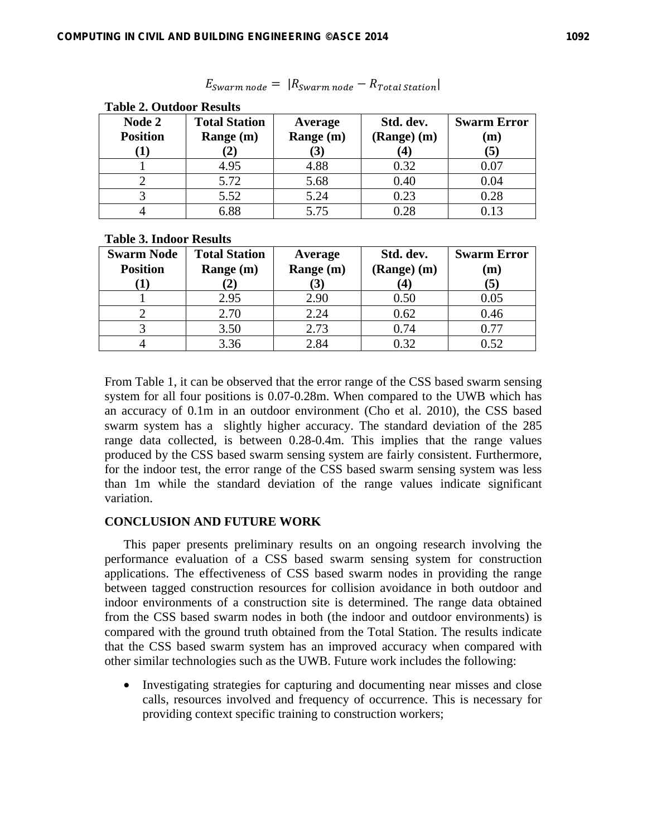| <b>Table 2. Outdoor Results</b> |                      |           |                   |                    |  |  |
|---------------------------------|----------------------|-----------|-------------------|--------------------|--|--|
| Node 2                          | <b>Total Station</b> | Average   | Std. dev.         | <b>Swarm Error</b> |  |  |
| <b>Position</b>                 | Range (m)            | Range (m) | (Range) (m)       | (m)                |  |  |
|                                 |                      |           | $\left( 4\right)$ | 5)                 |  |  |
|                                 | 4.95                 | 4.88      | 0.32              | 0.07               |  |  |
|                                 | 5.72                 | 5.68      | 0.40              | 0.04               |  |  |
|                                 | 5.52                 | 5.24      | 0.23              | 0.28               |  |  |
|                                 | 6.88                 | 5.75      | 0.28              |                    |  |  |

|  |  | $E_{Swarm\,node} =  R_{Swarm\,node} - R_{Total\,Station} $ |
|--|--|------------------------------------------------------------|
|--|--|------------------------------------------------------------|

| <b>Table 3. Indoor Results</b>       |                                   |                      |                          |                           |
|--------------------------------------|-----------------------------------|----------------------|--------------------------|---------------------------|
| <b>Swarm Node</b><br><b>Position</b> | <b>Total Station</b><br>Range (m) | Average<br>Range (m) | Std. dev.<br>(Range) (m) | <b>Swarm Error</b><br>(m) |
|                                      |                                   | (3)                  |                          | (5)                       |
|                                      | 2.95                              | 2.90                 | 0.50                     | 0.05                      |
|                                      | 2.70                              | 2.24                 | 0.62                     | 0.46                      |
|                                      | 3.50                              | 2.73                 | 0.74                     | በ 77                      |

From Table 1, it can be observed that the error range of the CSS based swarm sensing system for all four positions is 0.07-0.28m. When compared to the UWB which has an accuracy of 0.1m in an outdoor environment (Cho et al. 2010), the CSS based swarm system has a slightly higher accuracy. The standard deviation of the 285 range data collected, is between 0.28-0.4m. This implies that the range values produced by the CSS based swarm sensing system are fairly consistent. Furthermore, for the indoor test, the error range of the CSS based swarm sensing system was less than 1m while the standard deviation of the range values indicate significant variation.

4 | 3.36 | 2.84 | 0.32 | 0.52

## **CONCLUSION AND FUTURE WORK**

This paper presents preliminary results on an ongoing research involving the performance evaluation of a CSS based swarm sensing system for construction applications. The effectiveness of CSS based swarm nodes in providing the range between tagged construction resources for collision avoidance in both outdoor and indoor environments of a construction site is determined. The range data obtained from the CSS based swarm nodes in both (the indoor and outdoor environments) is compared with the ground truth obtained from the Total Station. The results indicate that the CSS based swarm system has an improved accuracy when compared with other similar technologies such as the UWB. Future work includes the following:

• Investigating strategies for capturing and documenting near misses and close calls, resources involved and frequency of occurrence. This is necessary for providing context specific training to construction workers;